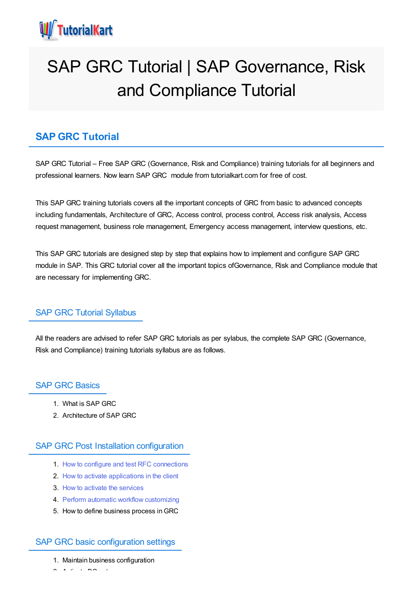

# SAP GRC Tutorial | SAP Governance, Risk and Compliance Tutorial

## **SAP GRC Tutorial**

SAP GRC Tutorial – Free SAP GRC (Governance, Risk and Compliance) training tutorials for all beginners and professional learners. Now learn SAP GRC module from tutorialkart.com for free of cost.

This SAP GRC training tutorials covers all the important concepts of GRC from basic to advanced concepts including fundamentals, Architecture of GRC, Access control, process control, Access risk analysis, Access request management, business role management, Emergency access management, interview questions, etc.

This SAP GRC tutorials are designed step by step that explains how to implement and configure SAP GRC module in SAP. This GRC tutorial cover all the important topics ofGovernance, Risk and Compliance module that are necessary for implementing GRC.

## SAP GRC Tutorial Syllabus

All the readers are advised to refer SAP GRC tutorials as per sylabus, the complete SAP GRC (Governance, Risk and Compliance) training tutorials syllabus are as follows.

## SAP GRC Basics

- 1. What is SAP GRC
- 2. Architecture of SAP GRC

## SAP GRC Post Installation configuration

- 1. How to configure and test RFC [connections](https://www.tutorialkart.com/sap-grc/how-to-configure-rfc-destination/)
- 2. How to activate [applications](https://www.tutorialkart.com/sap-grc/activate-applications-in-client/) in the client
- 3. How to activate the [services](https://www.tutorialkart.com/sap-grc/maintain-activate-icf-services-sicf/)
- 4. Perform automatic workflow [customizing](https://www.tutorialkart.com/sap-grc/perform-automatic-workflow-customizing/)
- 5. How to define business process inGRC

## SAP GRC basic configuration settings

- 1. Maintain business configuration
- $2.2.2 \times 10^{-4}$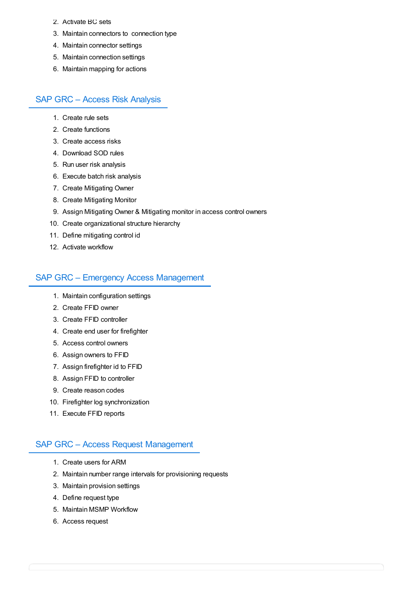- 2. Activate BC sets
- 3. Maintain connectors to connection type
- 4. Maintain connector settings
- 5. Maintain connection settings
- 6. Maintain mapping for actions

## SAP GRC – Access Risk Analysis

- 1. Create rule sets
- 2. Create functions
- 3. Create access risks
- 4. Download SOD rules
- 5. Run user risk analysis
- 6. Execute batch risk analysis
- 7. Create Mitigating Owner
- 8. Create Mitigating Monitor
- 9. Assign Mitigating Owner & Mitigating monitor in access control owners
- 10. Create organizational structure hierarchy
- 11. Define mitigating control id
- 12. Activate workflow

## SAP GRC – Emergency Access Management

- 1. Maintain configuration settings
- 2. Create FFID owner
- 3. Create FFID controller
- 4. Create end user for firefighter
- 5. Access control owners
- 6. Assign owners to FFID
- 7. Assign firefighter id to FFID
- 8. Assign FFID to controller
- 9. Create reason codes
- 10. Firefighter log synchronization
- 11. Execute FFID reports

## SAP GRC – Access Request Management

- 1. Create users for ARM
- 2. Maintain number range intervals for provisioning requests
- 3. Maintain provision settings
- 4. Define request type
- 5. Maintain MSMP Workflow
- 6. Access request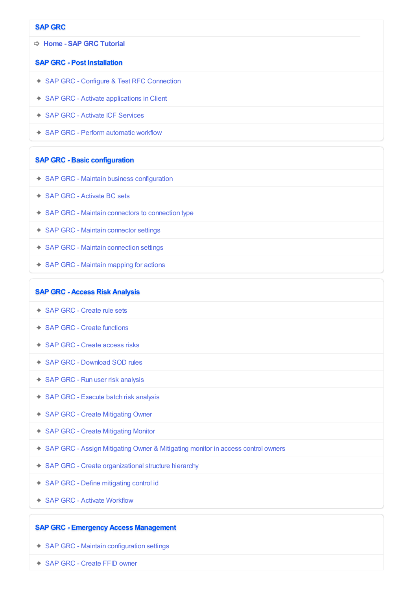#### **SAP GRC**

➩ **Home - SAP GRC [Tutorial](https://www.tutorialkart.com/sap-grc/)**

#### **SAP GRC - Post Installation**

- ✦ SAP GRC Configure & Test RFC [Connection](https://www.tutorialkart.com/sap-grc/how-to-configure-rfc-destination/)
- ◆ SAP GRC Activate [applications](https://www.tutorialkart.com/sap-grc/activate-applications-in-client/) in Client
- ✦ SAP GRC Activate ICF [Services](https://www.tutorialkart.com/sap-grc/maintain-activate-icf-services-sicf/)
- ✦ SAP GRC Perform [automatic](https://www.tutorialkart.com/sap-grc/perform-automatic-workflow-customizing/) workflow

#### **SAP GRC - Basic configuration**

- ✦ SAP GRC Maintain business [configuration](https://www.tutorialkart.com#)
- ✦ SAP GRC [Activate](https://www.tutorialkart.com#) BC sets
- ✦ SAP GRC Maintain [connectors](https://www.tutorialkart.com#) to connection type
- ✦ SAP GRC Maintain [connector](https://www.tutorialkart.com#) settings
- ✦ SAP GRC Maintain [connection](https://www.tutorialkart.com#) settings
- ◆ SAP GRC Maintain [mapping](https://www.tutorialkart.com#) for actions

#### **SAP GRC - Access Risk Analysis**

- ✦ SAP GRC [Create](https://www.tutorialkart.com/sap-grc/create-rule-sets-in-grc/) rule sets
- ✦ SAP GRC Create [functions](https://www.tutorialkart.com/sap-grc/create-function-id-in-sap-grc/)
- ✦ SAP GRC Create [access](https://www.tutorialkart.com#) risks
- ✦ SAP GRC [Download](https://www.tutorialkart.com#) SOD rules
- ✦ SAP GRC Run user risk [analysis](https://www.tutorialkart.com#)
- ✦ SAP GRC Execute batch risk [analysis](https://www.tutorialkart.com#)
- ✦ SAP GRC Create [Mitigating](https://www.tutorialkart.com#) Owner
- ✦ SAP GRC Create [Mitigating](https://www.tutorialkart.com#) Monitor
- ✦ SAP GRC Assign Mitigating Owner & [Mitigating](https://www.tutorialkart.com#) monitor in access control owners
- ✦ SAP GRC Create [organizational](https://www.tutorialkart.com#) structure hierarchy
- ✦ SAP GRC Define [mitigating](https://www.tutorialkart.com#) control id
- ✦ SAP GRC Activate [Workflow](https://www.tutorialkart.com#)

#### **SAP GRC - Emergency Access Management**

- ✦ SAP GRC Maintain [configuration](https://www.tutorialkart.com#) settings
- ✦ SAP GRC [Create](https://www.tutorialkart.com#) FFID owner